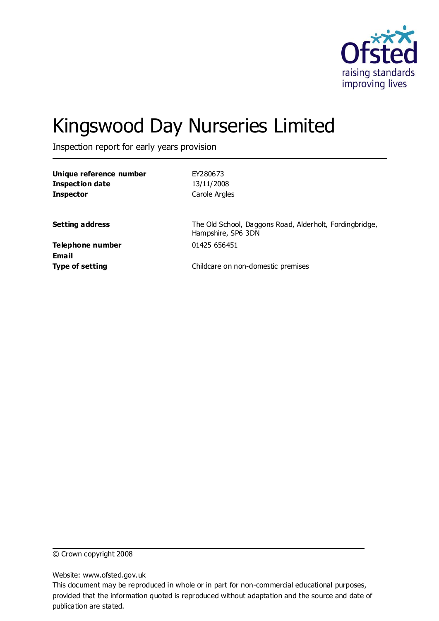

# Kingswood Day Nurseries Limited

Inspection report for early years provision

| Unique reference number | EY280673                                                                      |
|-------------------------|-------------------------------------------------------------------------------|
| <b>Inspection date</b>  | 13/11/2008                                                                    |
| <b>Inspector</b>        | Carole Argles                                                                 |
|                         |                                                                               |
| <b>Setting address</b>  | The Old School, Daggons Road, Alderholt, Fordingbridge,<br>Hampshire, SP6 3DN |
| Telephone number        | 01425 656451                                                                  |
| Email                   |                                                                               |
| <b>Type of setting</b>  | Childcare on non-domestic premises                                            |
|                         |                                                                               |

© Crown copyright 2008

Website: www.ofsted.gov.uk

This document may be reproduced in whole or in part for non-commercial educational purposes, provided that the information quoted is reproduced without adaptation and the source and date of publication are stated.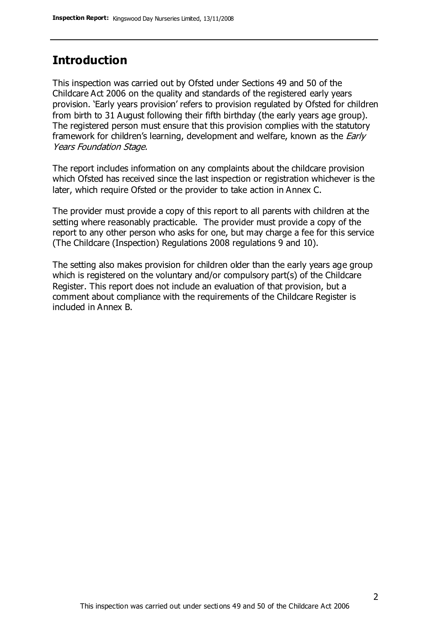### **Introduction**

This inspection was carried out by Ofsted under Sections 49 and 50 of the Childcare Act 2006 on the quality and standards of the registered early years provision. 'Early years provision' refers to provision regulated by Ofsted for children from birth to 31 August following their fifth birthday (the early years age group). The registered person must ensure that this provision complies with the statutory framework for children's learning, development and welfare, known as the *Early* Years Foundation Stage.

The report includes information on any complaints about the childcare provision which Ofsted has received since the last inspection or registration whichever is the later, which require Ofsted or the provider to take action in Annex C.

The provider must provide a copy of this report to all parents with children at the setting where reasonably practicable. The provider must provide a copy of the report to any other person who asks for one, but may charge a fee for this service (The Childcare (Inspection) Regulations 2008 regulations 9 and 10).

The setting also makes provision for children older than the early years age group which is registered on the voluntary and/or compulsory part(s) of the Childcare Register. This report does not include an evaluation of that provision, but a comment about compliance with the requirements of the Childcare Register is included in Annex B.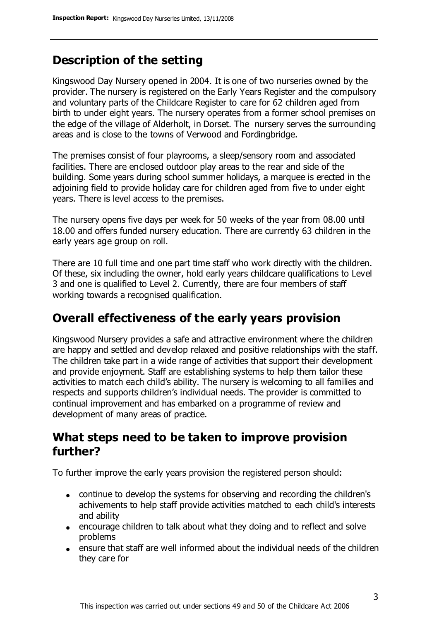## **Description of the setting**

Kingswood Day Nursery opened in 2004. It is one of two nurseries owned by the provider. The nursery is registered on the Early Years Register and the compulsory and voluntary parts of the Childcare Register to care for 62 children aged from birth to under eight years. The nursery operates from a former school premises on the edge of the village of Alderholt, in Dorset. The nursery serves the surrounding areas and is close to the towns of Verwood and Fordingbridge.

The premises consist of four playrooms, a sleep/sensory room and associated facilities. There are enclosed outdoor play areas to the rear and side of the building. Some years during school summer holidays, a marquee is erected in the adjoining field to provide holiday care for children aged from five to under eight years. There is level access to the premises.

The nursery opens five days per week for 50 weeks of the year from 08.00 until 18.00 and offers funded nursery education. There are currently 63 children in the early years age group on roll.

There are 10 full time and one part time staff who work directly with the children. Of these, six including the owner, hold early years childcare qualifications to Level 3 and one is qualified to Level 2. Currently, there are four members of staff working towards a recognised qualification.

### **Overall effectiveness of the early years provision**

Kingswood Nursery provides a safe and attractive environment where the children are happy and settled and develop relaxed and positive relationships with the staff. The children take part in a wide range of activities that support their development and provide enjoyment. Staff are establishing systems to help them tailor these activities to match each child's ability. The nursery is welcoming to all families and respects and supports children's individual needs. The provider is committed to continual improvement and has embarked on a programme of review and development of many areas of practice.

### **What steps need to be taken to improve provision further?**

To further improve the early years provision the registered person should:

- continue to develop the systems for observing and recording the children's achivements to help staff provide activities matched to each child's interests and ability
- encourage children to talk about what they doing and to reflect and solve problems
- ensure that staff are well informed about the individual needs of the children they care for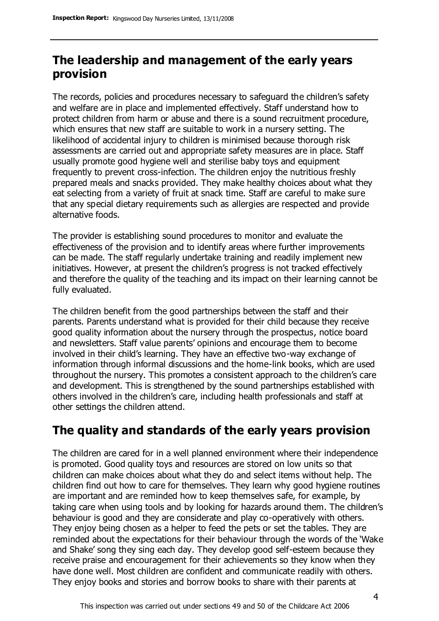## **The leadership and management of the early years provision**

The records, policies and procedures necessary to safeguard the children's safety and welfare are in place and implemented effectively. Staff understand how to protect children from harm or abuse and there is a sound recruitment procedure, which ensures that new staff are suitable to work in a nursery setting. The likelihood of accidental injury to children is minimised because thorough risk assessments are carried out and appropriate safety measures are in place. Staff usually promote good hygiene well and sterilise baby toys and equipment frequently to prevent cross-infection. The children enjoy the nutritious freshly prepared meals and snacks provided. They make healthy choices about what they eat selecting from a variety of fruit at snack time. Staff are careful to make sure that any special dietary requirements such as allergies are respected and provide alternative foods.

The provider is establishing sound procedures to monitor and evaluate the effectiveness of the provision and to identify areas where further improvements can be made. The staff regularly undertake training and readily implement new initiatives. However, at present the children's progress is not tracked effectively and therefore the quality of the teaching and its impact on their learning cannot be fully evaluated.

The children benefit from the good partnerships between the staff and their parents. Parents understand what is provided for their child because they receive good quality information about the nursery through the prospectus, notice board and newsletters. Staff value parents' opinions and encourage them to become involved in their child's learning. They have an effective two-way exchange of information through informal discussions and the home-link books, which are used throughout the nursery. This promotes a consistent approach to the children's care and development. This is strengthened by the sound partnerships established with others involved in the children's care, including health professionals and staff at other settings the children attend.

# **The quality and standards of the early years provision**

The children are cared for in a well planned environment where their independence is promoted. Good quality toys and resources are stored on low units so that children can make choices about what they do and select items without help. The children find out how to care for themselves. They learn why good hygiene routines are important and are reminded how to keep themselves safe, for example, by taking care when using tools and by looking for hazards around them. The children's behaviour is good and they are considerate and play co-operatively with others. They enjoy being chosen as a helper to feed the pets or set the tables. They are reminded about the expectations for their behaviour through the words of the 'Wake and Shake' song they sing each day. They develop good self-esteem because they receive praise and encouragement for their achievements so they know when they have done well. Most children are confident and communicate readily with others. They enjoy books and stories and borrow books to share with their parents at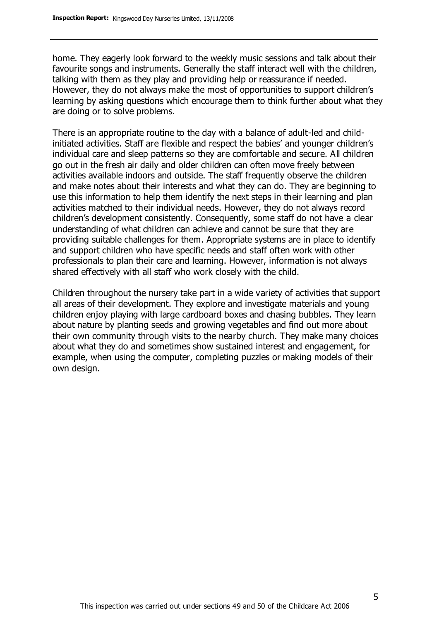home. They eagerly look forward to the weekly music sessions and talk about their favourite songs and instruments. Generally the staff interact well with the children, talking with them as they play and providing help or reassurance if needed. However, they do not always make the most of opportunities to support children's learning by asking questions which encourage them to think further about what they are doing or to solve problems.

There is an appropriate routine to the day with a balance of adult-led and childinitiated activities. Staff are flexible and respect the babies' and younger children's individual care and sleep patterns so they are comfortable and secure. All children go out in the fresh air daily and older children can often move freely between activities available indoors and outside. The staff frequently observe the children and make notes about their interests and what they can do. They are beginning to use this information to help them identify the next steps in their learning and plan activities matched to their individual needs. However, they do not always record children's development consistently. Consequently, some staff do not have a clear understanding of what children can achieve and cannot be sure that they are providing suitable challenges for them. Appropriate systems are in place to identify and support children who have specific needs and staff often work with other professionals to plan their care and learning. However, information is not always shared effectively with all staff who work closely with the child.

Children throughout the nursery take part in a wide variety of activities that support all areas of their development. They explore and investigate materials and young children enjoy playing with large cardboard boxes and chasing bubbles. They learn about nature by planting seeds and growing vegetables and find out more about their own community through visits to the nearby church. They make many choices about what they do and sometimes show sustained interest and engagement, for example, when using the computer, completing puzzles or making models of their own design.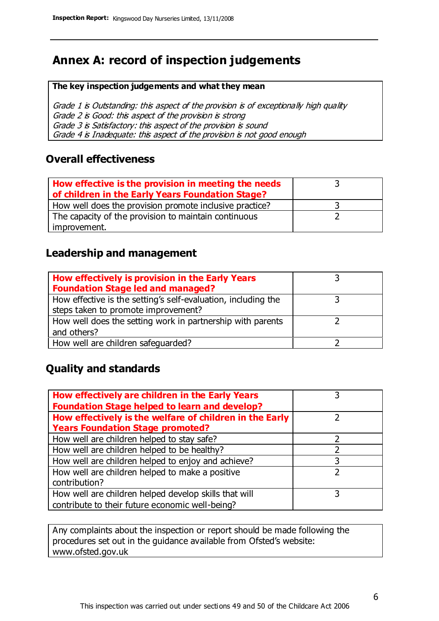## **Annex A: record of inspection judgements**

#### **The key inspection judgements and what they mean**

Grade 1 is Outstanding: this aspect of the provision is of exceptionally high quality Grade 2 is Good: this aspect of the provision is strong Grade 3 is Satisfactory: this aspect of the provision is sound Grade 4 is Inadequate: this aspect of the provision is not good enough

### **Overall effectiveness**

| How effective is the provision in meeting the needs<br>of children in the Early Years Foundation Stage? |  |
|---------------------------------------------------------------------------------------------------------|--|
| How well does the provision promote inclusive practice?                                                 |  |
| The capacity of the provision to maintain continuous                                                    |  |
| improvement.                                                                                            |  |

### **Leadership and management**

| How effectively is provision in the Early Years               |  |
|---------------------------------------------------------------|--|
| <b>Foundation Stage led and managed?</b>                      |  |
| How effective is the setting's self-evaluation, including the |  |
| steps taken to promote improvement?                           |  |
| How well does the setting work in partnership with parents    |  |
| and others?                                                   |  |
| How well are children safeguarded?                            |  |

### **Quality and standards**

| How effectively are children in the Early Years         |   |
|---------------------------------------------------------|---|
| <b>Foundation Stage helped to learn and develop?</b>    |   |
| How effectively is the welfare of children in the Early |   |
| <b>Years Foundation Stage promoted?</b>                 |   |
| How well are children helped to stay safe?              |   |
| How well are children helped to be healthy?             |   |
| How well are children helped to enjoy and achieve?      | 3 |
| How well are children helped to make a positive         |   |
| contribution?                                           |   |
| How well are children helped develop skills that will   | 3 |
| contribute to their future economic well-being?         |   |

Any complaints about the inspection or report should be made following the procedures set out in the guidance available from Ofsted's website: www.ofsted.gov.uk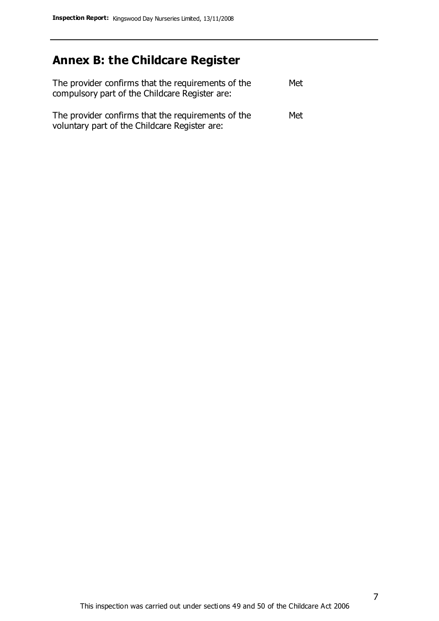# **Annex B: the Childcare Register**

| The provider confirms that the requirements of the<br>compulsory part of the Childcare Register are: | Met |
|------------------------------------------------------------------------------------------------------|-----|
| The provider confirms that the requirements of the<br>voluntary part of the Childcare Register are:  | Met |